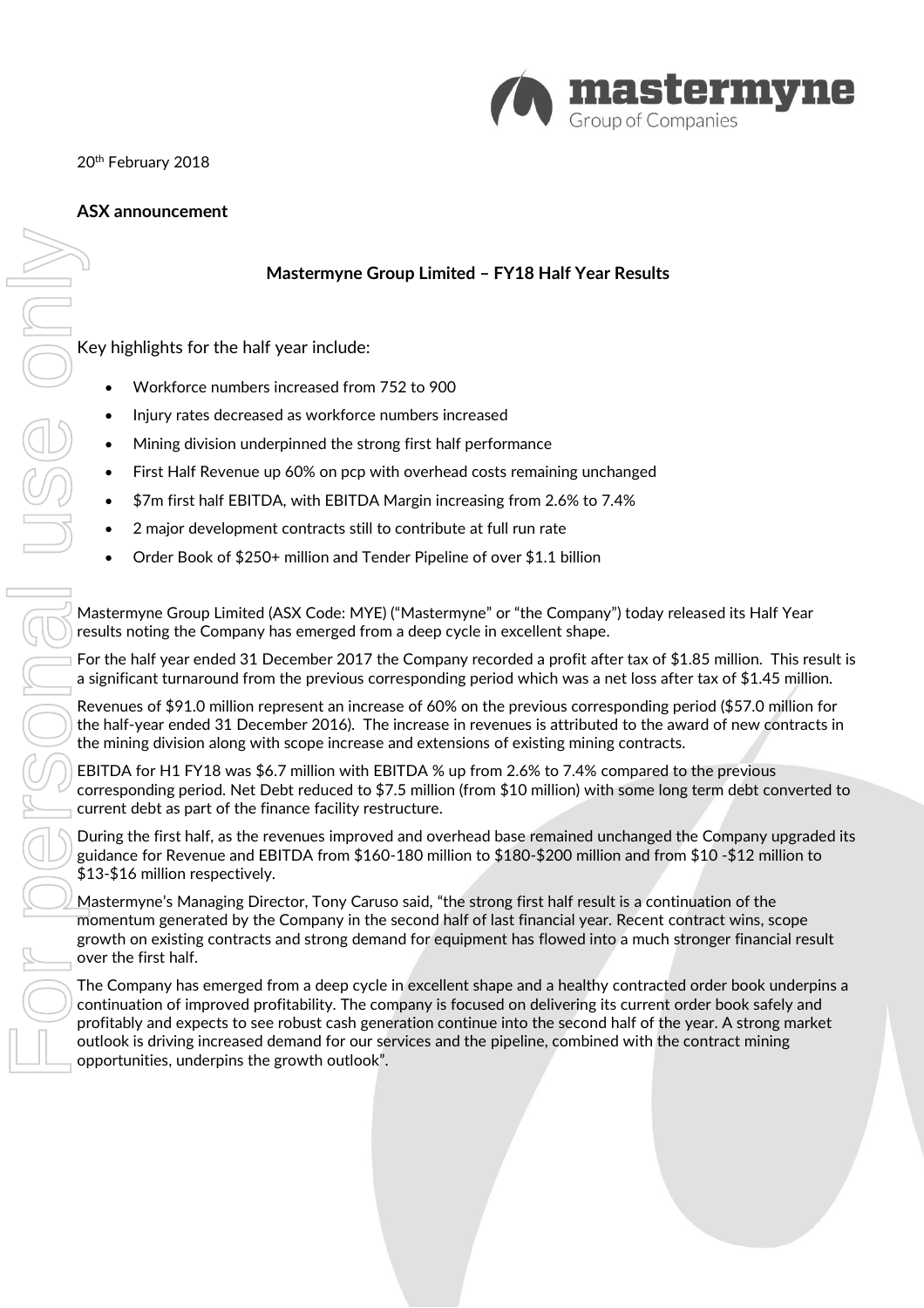

20<sup>th</sup> February 2018

# **ASX announcement**

# **Mastermyne Group Limited – FY18 Half Year Results**

Key highlights for the half year include:

- Workforce numbers increased from 752 to 900
- Injury rates decreased as workforce numbers increased
- Mining division underpinned the strong first half performance
- First Half Revenue up 60% on pcp with overhead costs remaining unchanged
- \$7m first half EBITDA, with EBITDA Margin increasing from 2.6% to 7.4%
- 2 major development contracts still to contribute at full run rate
- Order Book of \$250+ million and Tender Pipeline of over \$1.1 billion

Mastermyne Group Limited (ASX Code: MYE) ("Mastermyne" or "the Company") today released its Half Year results noting the Company has emerged from a deep cycle in excellent shape.

For the half year ended 31 December 2017 the Company recorded a profit after tax of \$1.85 million. This result is a significant turnaround from the previous corresponding period which was a net loss after tax of \$1.45 million.

Revenues of \$91.0 million represent an increase of 60% on the previous corresponding period (\$57.0 million for the half-year ended 31 December 2016). The increase in revenues is attributed to the award of new contracts in the mining division along with scope increase and extensions of existing mining contracts.

EBITDA for H1 FY18 was \$6.7 million with EBITDA % up from 2.6% to 7.4% compared to the previous corresponding period. Net Debt reduced to \$7.5 million (from \$10 million) with some long term debt converted to current debt as part of the finance facility restructure.

During the first half, as the revenues improved and overhead base remained unchanged the Company upgraded its guidance for Revenue and EBITDA from \$160-180 million to \$180-\$200 million and from \$10 -\$12 million to \$13-\$16 million respectively.

Mastermyne's Managing Director, Tony Caruso said, "the strong first half result is a continuation of the momentum generated by the Company in the second half of last financial year. Recent contract wins, scope growth on existing contracts and strong demand for equipment has flowed into a much stronger financial result over the first half.

The Company has emerged from a deep cycle in excellent shape and a healthy contracted order book underpins a continuation of improved profitability. The company is focused on delivering its current order book safely and profitably and expects to see robust cash generation continue into the second half of the year. A strong market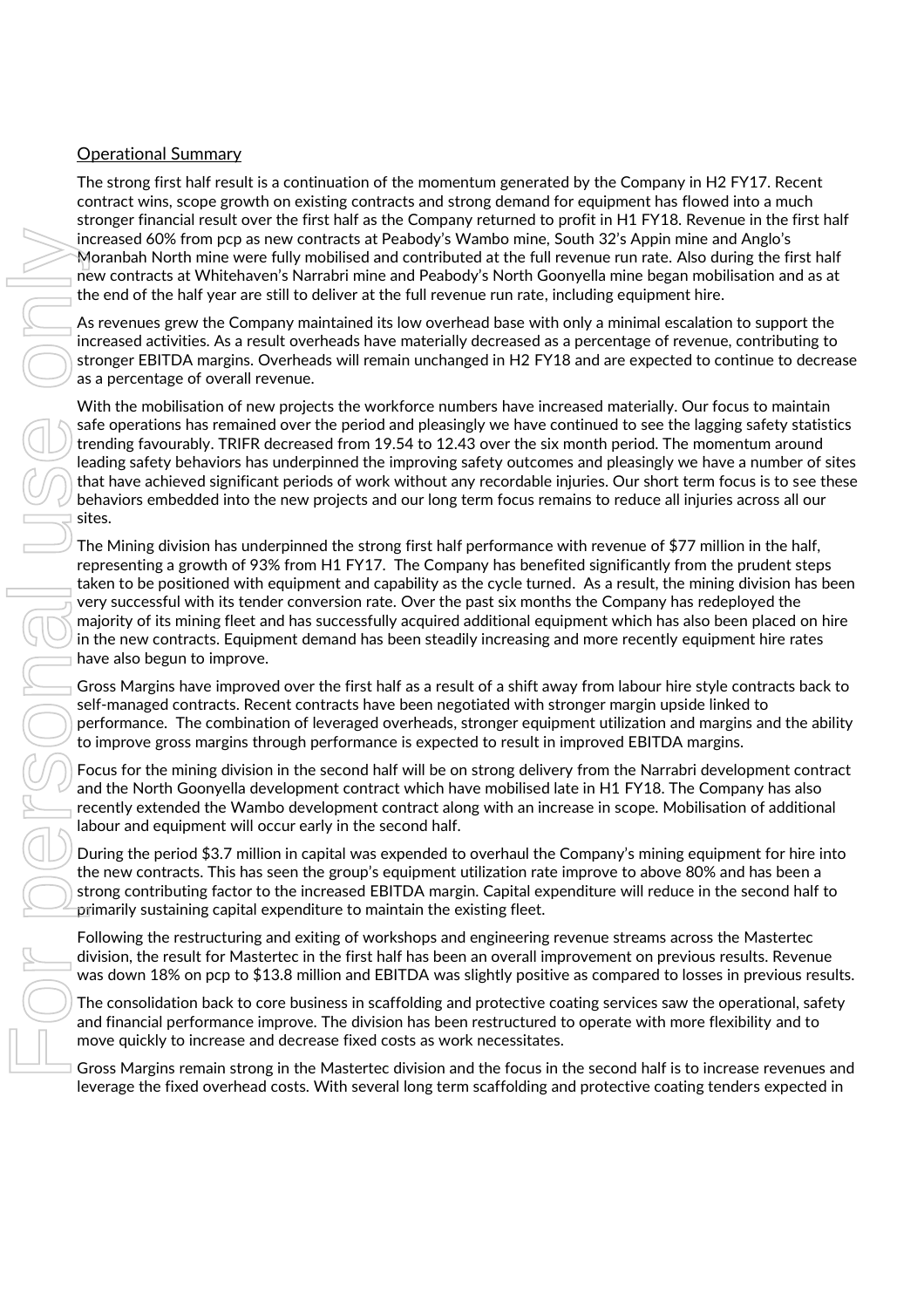## Operational Summary

The strong first half result is a continuation of the momentum generated by the Company in H2 FY17. Recent contract wins, scope growth on existing contracts and strong demand for equipment has flowed into a much stronger financial result over the first half as the Company returned to profit in H1 FY18. Revenue in the first half increased 60% from pcp as new contracts at Peabody's Wambo mine, South 32's Appin mine and Anglo's Moranbah North mine were fully mobilised and contributed at the full revenue run rate. Also during the first half new contracts at Whitehaven's Narrabri mine and Peabody's North Goonyella mine began mobilisation and as at the end of the half year are still to deliver at the full revenue run rate, including equipment hire.

As revenues grew the Company maintained its low overhead base with only a minimal escalation to support the increased activities. As a result overheads have materially decreased as a percentage of revenue, contributing to stronger EBITDA margins. Overheads will remain unchanged in H2 FY18 and are expected to continue to decrease as a percentage of overall revenue.

With the mobilisation of new projects the workforce numbers have increased materially. Our focus to maintain safe operations has remained over the period and pleasingly we have continued to see the lagging safety statistics trending favourably. TRIFR decreased from 19.54 to 12.43 over the six month period. The momentum around leading safety behaviors has underpinned the improving safety outcomes and pleasingly we have a number of sites that have achieved significant periods of work without any recordable injuries. Our short term focus is to see these behaviors embedded into the new projects and our long term focus remains to reduce all injuries across all our sites. From the Master Control of the Master Schenker (Master) which mini-strong in the Schenker (Master) and the Master Control of the Master Control of the Master Control of the Master Control of the Master Control of the Maste

The Mining division has underpinned the strong first half performance with revenue of \$77 million in the half, representing a growth of 93% from H1 FY17. The Company has benefited significantly from the prudent steps taken to be positioned with equipment and capability as the cycle turned. As a result, the mining division has been very successful with its tender conversion rate. Over the past six months the Company has redeployed the majority of its mining fleet and has successfully acquired additional equipment which has also been placed on hire in the new contracts. Equipment demand has been steadily increasing and more recently equipment hire rates have also begun to improve.

Gross Margins have improved over the first half as a result of a shift away from labour hire style contracts back to self-managed contracts. Recent contracts have been negotiated with stronger margin upside linked to performance. The combination of leveraged overheads, stronger equipment utilization and margins and the ability to improve gross margins through performance is expected to result in improved EBITDA margins.

Focus for the mining division in the second half will be on strong delivery from the Narrabri development contract and the North Goonyella development contract which have mobilised late in H1 FY18. The Company has also recently extended the Wambo development contract along with an increase in scope. Mobilisation of additional labour and equipment will occur early in the second half.

During the period \$3.7 million in capital was expended to overhaul the Company's mining equipment for hire into the new contracts. This has seen the group's equipment utilization rate improve to above 80% and has been a strong contributing factor to the increased EBITDA margin. Capital expenditure will reduce in the second half to primarily sustaining capital expenditure to maintain the existing fleet.

Following the restructuring and exiting of workshops and engineering revenue streams across the Mastertec division, the result for Mastertec in the first half has been an overall improvement on previous results. Revenue was down 18% on pcp to \$13.8 million and EBITDA was slightly positive as compared to losses in previous results.

The consolidation back to core business in scaffolding and protective coating services saw the operational, safety and financial performance improve. The division has been restructured to operate with more flexibility and to move quickly to increase and decrease fixed costs as work necessitates.

leverage the fixed overhead costs. With several long term scaffolding and protective coating tenders expected in